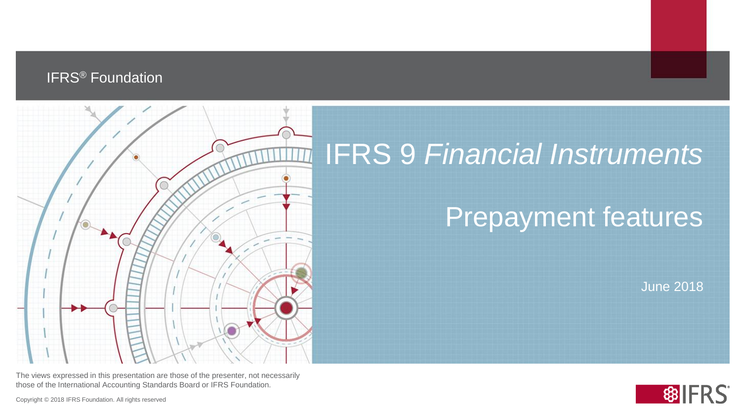#### IFRS® Foundation



# IFRS 9 *Financial Instruments*

## Prepayment features

June 2018

The views expressed in this presentation are those of the presenter, not necessarily those of the International Accounting Standards Board or IFRS Foundation.

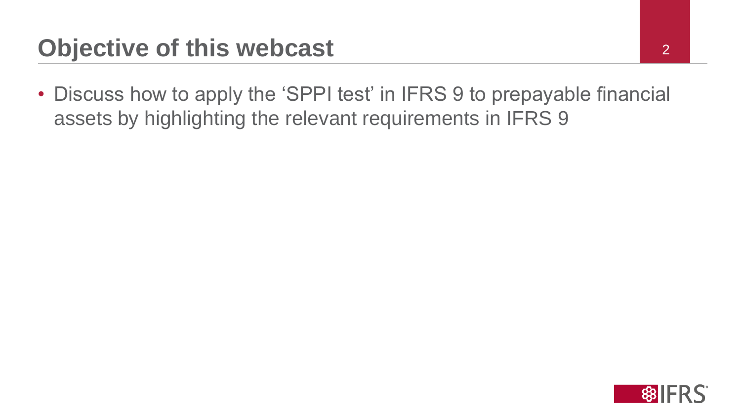• Discuss how to apply the 'SPPI test' in IFRS 9 to prepayable financial assets by highlighting the relevant requirements in IFRS 9

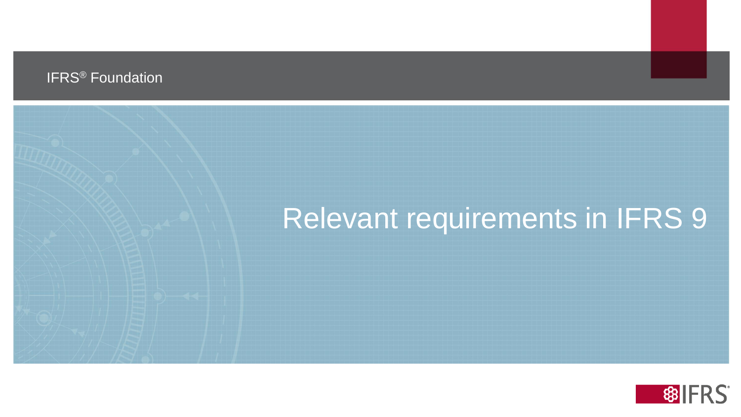#### IFRS® Foundation

# Relevant requirements in IFRS 9

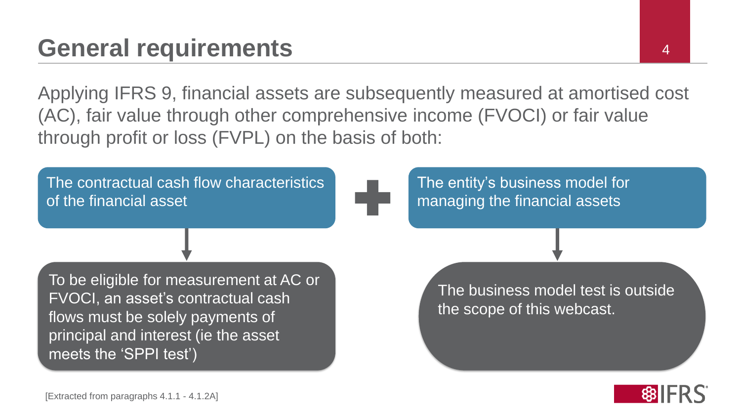## **General requirements** <sup>4</sup>

Applying IFRS 9, financial assets are subsequently measured at amortised cost (AC), fair value through other comprehensive income (FVOCI) or fair value through profit or loss (FVPL) on the basis of both:



The entity's business model for managing the financial assets

To be eligible for measurement at AC or FVOCI, an asset's contractual cash flows must be solely payments of principal and interest (ie the asset meets the 'SPPI test')

The business model test is outside the scope of this webcast.

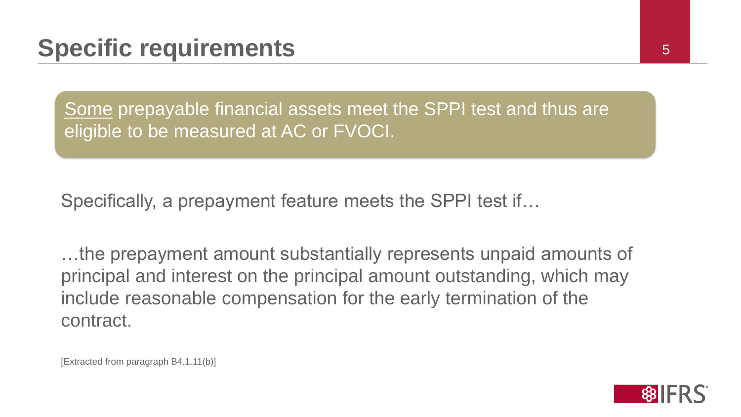Some prepayable financial assets meet the SPPI test and thus are eligible to be measured at AC or FVOCI.

Specifically, a prepayment feature meets the SPPI test if…

…the prepayment amount substantially represents unpaid amounts of principal and interest on the principal amount outstanding, which may include reasonable compensation for the early termination of the contract.

[Extracted from paragraph B4.1.11(b)]

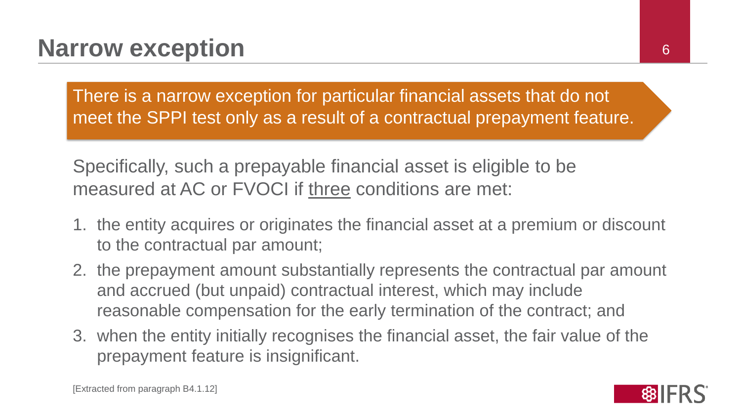There is a narrow exception for particular financial assets that do not meet the SPPI test only as a result of a contractual prepayment feature.

Specifically, such a prepayable financial asset is eligible to be measured at AC or FVOCI if three conditions are met:

- 1. the entity acquires or originates the financial asset at a premium or discount to the contractual par amount;
- 2. the prepayment amount substantially represents the contractual par amount and accrued (but unpaid) contractual interest, which may include reasonable compensation for the early termination of the contract; and
- 3. when the entity initially recognises the financial asset, the fair value of the prepayment feature is insignificant.

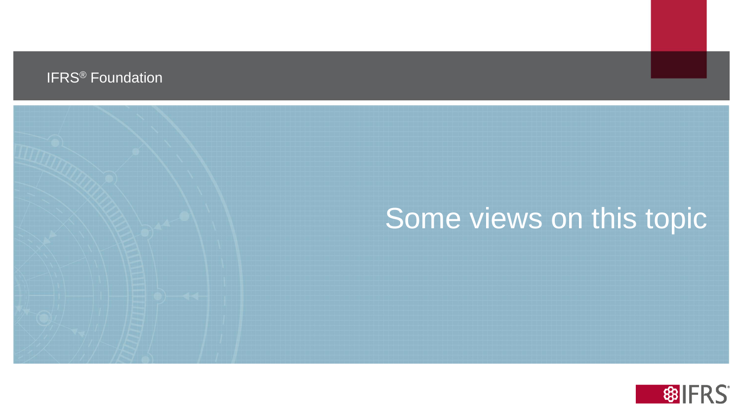#### IFRS® Foundation

# Some views on this topic

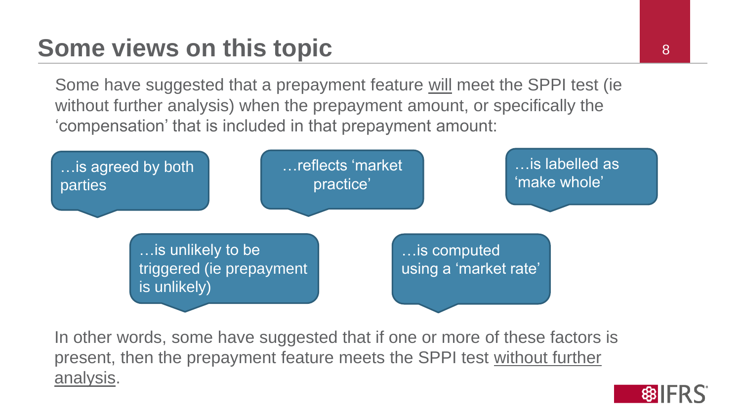## **Some views on this topic** <sup>8</sup>

Some have suggested that a prepayment feature will meet the SPPI test (ie without further analysis) when the prepayment amount, or specifically the 'compensation' that is included in that prepayment amount:



In other words, some have suggested that if one or more of these factors is present, then the prepayment feature meets the SPPI test without further analysis.

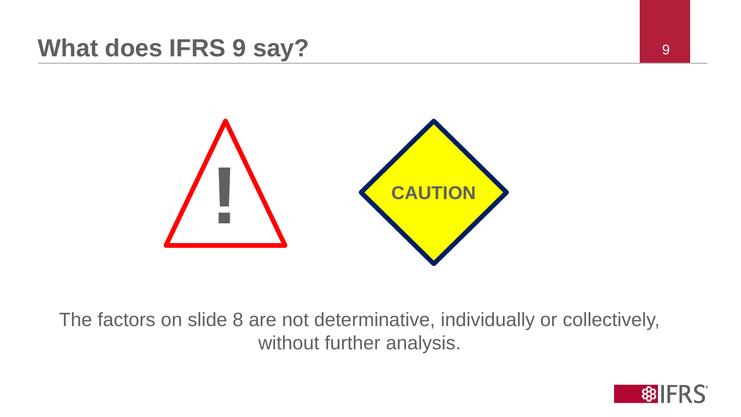### **What does IFRS 9 say?** 9



The factors on slide 8 are not determinative, individually or collectively, without further analysis.

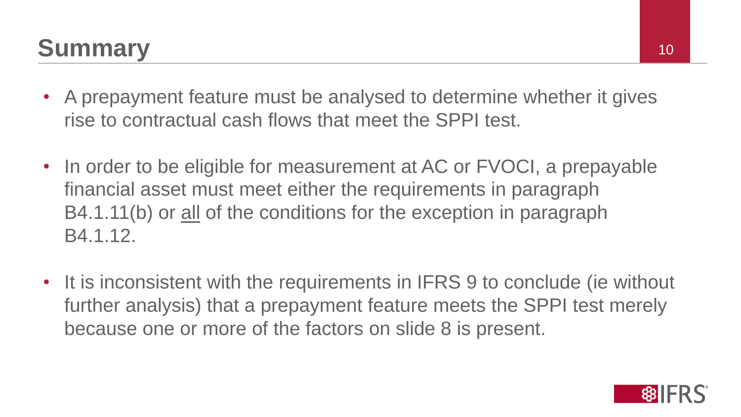# **Summary** 10

- A prepayment feature must be analysed to determine whether it gives rise to contractual cash flows that meet the SPPI test.
- In order to be eligible for measurement at AC or FVOCI, a prepayable financial asset must meet either the requirements in paragraph B4.1.11(b) or all of the conditions for the exception in paragraph B4.1.12.
- It is inconsistent with the requirements in IFRS 9 to conclude (ie without further analysis) that a prepayment feature meets the SPPI test merely because one or more of the factors on slide 8 is present.